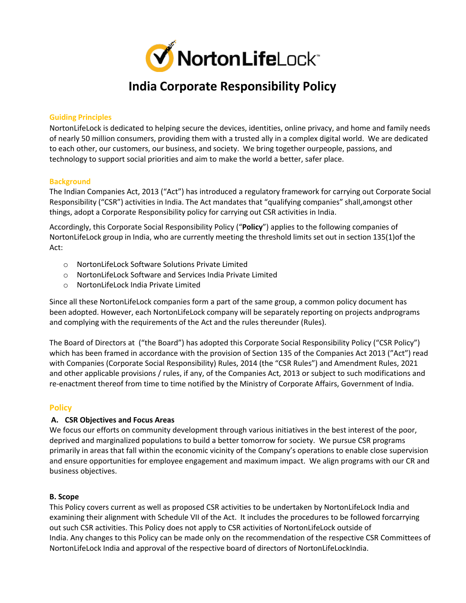

#### **Guiding Principles**

NortonLifeLock is dedicated to helping secure the devices, identities, online privacy, and home and family needs of nearly 50 million consumers, providing them with a trusted ally in a complex digital world. We are dedicated to each other, our customers, our business, and society. We bring together ourpeople, passions, and technology to support social priorities and aim to make the world a better, safer place.

#### **Background**

The Indian Companies Act, 2013 ("Act") has introduced a regulatory framework for carrying out Corporate Social Responsibility ("CSR") activities in India. The Act mandates that "qualifying companies" shall,amongst other things, adopt a Corporate Responsibility policy for carrying out CSR activities in India.

Accordingly, this Corporate Social Responsibility Policy ("**Policy**") applies to the following companies of NortonLifeLock group in India, who are currently meeting the threshold limits set out in section 135(1)of the Act:

- o NortonLifeLock Software Solutions Private Limited
- o NortonLifeLock Software and Services India Private Limited
- o NortonLifeLock India Private Limited

Since all these NortonLifeLock companies form a part of the same group, a common policy document has been adopted. However, each NortonLifeLock company will be separately reporting on projects andprograms and complying with the requirements of the Act and the rules thereunder (Rules).

The Board of Directors at ("the Board") has adopted this Corporate Social Responsibility Policy ("CSR Policy") which has been framed in accordance with the provision of Section 135 of the Companies Act 2013 ("Act") read with Companies (Corporate Social Responsibility) Rules, 2014 (the "CSR Rules") and Amendment Rules, 2021 and other applicable provisions / rules, if any, of the Companies Act, 2013 or subject to such modifications and re-enactment thereof from time to time notified by the Ministry of Corporate Affairs, Government of India.

#### **Policy**

#### **A. CSR Objectives and Focus Areas**

We focus our efforts on community development through various initiatives in the best interest of the poor, deprived and marginalized populations to build a better tomorrow for society. We pursue CSR programs primarily in areas that fall within the economic vicinity of the Company's operations to enable close supervision and ensure opportunities for employee engagement and maximum impact. We align programs with our CR and business objectives.

#### **B. Scope**

This Policy covers current as well as proposed CSR activities to be undertaken by NortonLifeLock India and examining their alignment with Schedule VII of the Act. It includes the procedures to be followed forcarrying out such CSR activities. This Policy does not apply to CSR activities of NortonLifeLock outside of India. Any changes to this Policy can be made only on the recommendation of the respective CSR Committees of NortonLifeLock India and approval of the respective board of directors of NortonLifeLockIndia.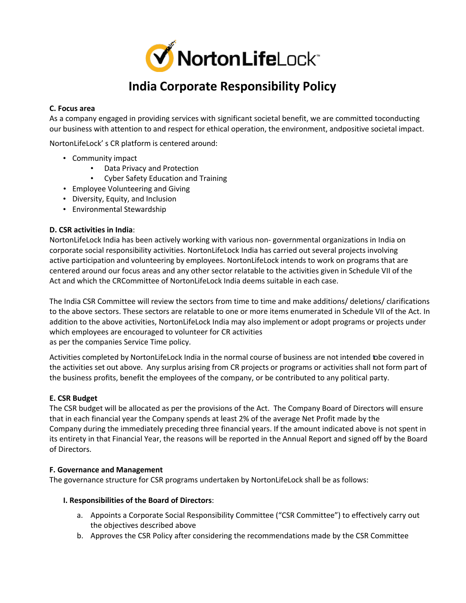

### **C. Focus area**

As a company engaged in providing services with significant societal benefit, we are committed toconducting our business with attention to and respect for ethical operation, the environment, andpositive societal impact.

NortonLifeLock' s CR platform is centered around:

- Community impact
	- Data Privacy and Protection
	- Cyber Safety Education and Training
- Employee Volunteering and Giving
- Diversity, Equity, and Inclusion
- Environmental Stewardship

#### **D. CSR activities in India**:

NortonLifeLock India has been actively working with various non- governmental organizations in India on corporate social responsibility activities. NortonLifeLock India has carried out several projects involving active participation and volunteering by employees. NortonLifeLock intends to work on programs that are centered around our focus areas and any other sector relatable to the activities given in Schedule VII of the Act and which the CRCommittee of NortonLifeLock India deems suitable in each case.

The India CSR Committee will review the sectors from time to time and make additions/ deletions/ clarifications to the above sectors. These sectors are relatable to one or more items enumerated in Schedule VII of the Act. In addition to the above activities, NortonLifeLock India may also implement or adopt programs or projects under which employees are encouraged to volunteer for CR activities as per the companies Service Time policy.

Activities completed by NortonLifeLock India in the normal course of business are not intended tobe covered in the activities set out above. Any surplus arising from CR projects or programs or activities shall not form part of the business profits, benefit the employees of the company, or be contributed to any political party.

### **E. CSR Budget**

The CSR budget will be allocated as per the provisions of the Act. The Company Board of Directors will ensure that in each financial year the Company spends at least 2% of the average Net Profit made by the Company during the immediately preceding three financial years. If the amount indicated above is not spent in its entirety in that Financial Year, the reasons will be reported in the Annual Report and signed off by the Board of Directors.

#### **F. Governance and Management**

The governance structure for CSR programs undertaken by NortonLifeLock shall be as follows:

#### **I. Responsibilities of the Board of Directors**:

- a. Appoints a Corporate Social Responsibility Committee ("CSR Committee") to effectively carry out the objectives described above
- b. Approves the CSR Policy after considering the recommendations made by the CSR Committee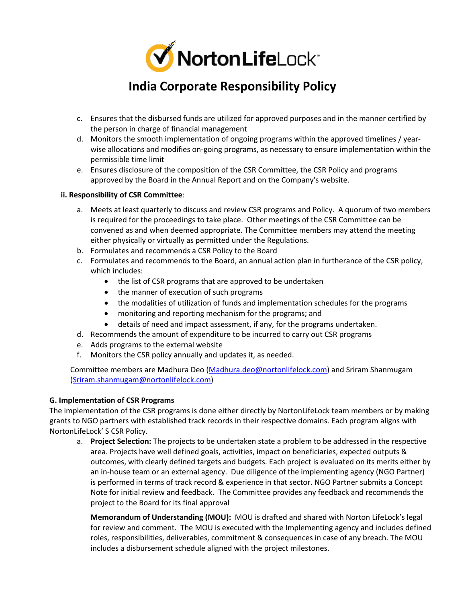

- c. Ensures that the disbursed funds are utilized for approved purposes and in the manner certified by the person in charge of financial management
- d. Monitors the smooth implementation of ongoing programs within the approved timelines / yearwise allocations and modifies on-going programs, as necessary to ensure implementation within the permissible time limit
- e. Ensures disclosure of the composition of the CSR Committee, the CSR Policy and programs approved by the Board in the Annual Report and on the Company's website.

#### **ii. Responsibility of CSR Committee**:

- a. Meets at least quarterly to discuss and review CSR programs and Policy. A quorum of two members is required for the proceedings to take place. Other meetings of the CSR Committee can be convened as and when deemed appropriate. The Committee members may attend the meeting either physically or virtually as permitted under the Regulations.
- b. Formulates and recommends a CSR Policy to the Board
- c. Formulates and recommends to the Board, an annual action plan in furtherance of the CSR policy, which includes:
	- the list of CSR programs that are approved to be undertaken
	- the manner of execution of such programs
	- the modalities of utilization of funds and implementation schedules for the programs
	- monitoring and reporting mechanism for the programs; and
	- details of need and impact assessment, if any, for the programs undertaken.
- d. Recommends the amount of expenditure to be incurred to carry out CSR programs
- e. Adds programs to the external website
- f. Monitors the CSR policy annually and updates it, as needed.

Committee members are Madhura Deo (Madhura.deo@nortonlifelock.com) and Sriram Shanmugam (Sriram.shanmugam@nortonlifelock.com)

#### **G. Implementation of CSR Programs**

The implementation of the CSR programs is done either directly by NortonLifeLock team members or by making grants to NGO partners with established track records in their respective domains. Each program aligns with NortonLifeLock' S CSR Policy.

a. **Project Selection:** The projects to be undertaken state a problem to be addressed in the respective area. Projects have well defined goals, activities, impact on beneficiaries, expected outputs & outcomes, with clearly defined targets and budgets. Each project is evaluated on its merits either by an in-house team or an external agency. Due diligence of the implementing agency (NGO Partner) is performed in terms of track record & experience in that sector. NGO Partner submits a Concept Note for initial review and feedback. The Committee provides any feedback and recommends the project to the Board for its final approval

**Memorandum of Understanding (MOU):** MOU is drafted and shared with Norton LifeLock's legal for review and comment. The MOU is executed with the Implementing agency and includes defined roles, responsibilities, deliverables, commitment & consequences in case of any breach. The MOU includes a disbursement schedule aligned with the project milestones.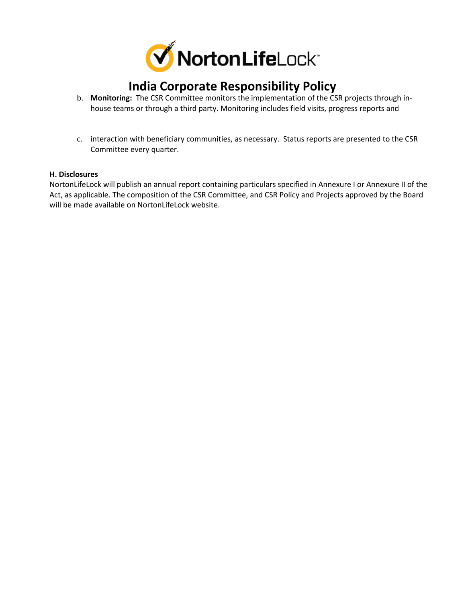

- b. **Monitoring:** The CSR Committee monitors the implementation of the CSR projects through inhouse teams or through a third party. Monitoring includes field visits, progress reports and
- c. interaction with beneficiary communities, as necessary. Status reports are presented to the CSR Committee every quarter.

#### **H. Disclosures**

NortonLifeLock will publish an annual report containing particulars specified in Annexure I or Annexure II of the Act, as applicable. The composition of the CSR Committee, and CSR Policy and Projects approved by the Board will be made available on NortonLifeLock website.